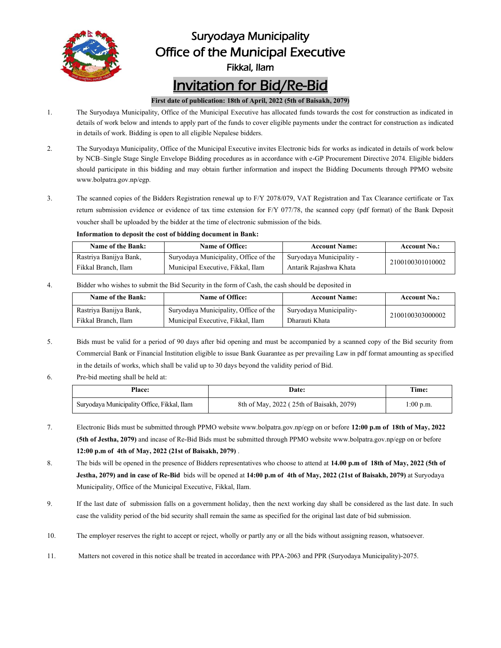

## Suryodaya Municipality Office of the Municipal Executive

Fikkal, Ilam

# Invitation for Bid/Re-Bid

#### **First date of publication: 18th of April, 2022(5th of Baisakh, 2079)**

- 1. The Suryodaya Municipality, Office of the Municipal Executive has allocated funds towards the cost for construction as indicated in details of work below and intends to apply part of the funds to cover eligible payments under the contract for construction as indicated in details of work. Bidding is open to all eligible Nepalese bidders.
- 2. The Suryodaya Municipality, Office of the Municipal Executive invites Electronic bids for works as indicated in details of work below by NCB–Single Stage Single Envelope Bidding procedures as in accordance with e-GP Procurement Directive 2074. Eligible bidders should participate in this bidding and may obtain further information and inspect the Bidding Documents through PPMO website www.bolpatra.gov.np/egp.
- 3. The scanned copies of the Bidders Registration renewal up to F/Y 2078/079, VAT Registration and Tax Clearance certificate or Tax return submission evidence or evidence of tax time extension for F/Y 077/78, the scanned copy (pdf format) of the Bank Deposit voucher shall be uploaded by the bidder at the time of electronic submission of the bids.

#### **Information to deposit the cost of bidding document in Bank:**

| Name of the Bank:      | Name of Office:                       | <b>Account Name:</b>     | <b>Account No.:</b> |  |
|------------------------|---------------------------------------|--------------------------|---------------------|--|
| Rastriya Banijya Bank, | Suryodaya Municipality, Office of the | Suryodaya Municipality - | 2100100301010002    |  |
| Fikkal Branch. Ilam    | Municipal Executive, Fikkal, Ilam     | Antarik Rajashwa Khata   |                     |  |

4. Bidder who wishes to submit the Bid Security in the form of Cash, the cash should be deposited in

| Name of the Bank:      | Name of Office:                       | <b>Account Name:</b>    | <b>Account No.:</b> |  |
|------------------------|---------------------------------------|-------------------------|---------------------|--|
| Rastriya Banijya Bank, | Suryodaya Municipality, Office of the | Suryodaya Municipality- | 2100100303000002    |  |
| Fikkal Branch, Ilam    | Municipal Executive, Fikkal, Ilam     | Dharauti Khata          |                     |  |

- 5. Bids must be valid for a period of 90 days after bid opening and must be accompanied by a scanned copy of the Bid security from Commercial Bank or Financial Institution eligible to issue Bank Guarantee as per prevailing Law in pdf format amounting as specified in the details of works, which shall be valid up to 30 days beyond the validity period of Bid.
- 6. Pre-bid meeting shall be held at:

| <b>Place:</b>                               | <b>Date:</b>                             | Time:       |  |
|---------------------------------------------|------------------------------------------|-------------|--|
| Suryodaya Municipality Office, Fikkal, Ilam | 8th of May, 2022 (25th of Baisakh, 2079) | $1:00$ p.m. |  |

- 7. Electronic Bids must be submitted through PPMO website www.bolpatra.gov.np/egp on or before **12:00 p.m of 18th of May, 2022 (5th of Jestha, 2079)** and incase of Re-Bid Bids must be submitted through PPMO website www.bolpatra.gov.np/egp on or before **12:00 p.m of 4th of May, 2022(21stof Baisakh, 2079)** .
- 8. The bids will be opened in the presence of Bidders representatives who choose to attend at **14.00 p.m of 18th of May, 2022(5th of Jestha, 2079) and in case of Re-Bid** bids will be opened at**14:00 p.m of 4th of May, 2022(21stof Baisakh, 2079)** at Suryodaya Municipality, Office of the Municipal Executive, Fikkal, Ilam.
- 9. If the last date of submission falls on a government holiday, then the next working day shall be considered as the last date. In such case the validity period of the bid security shall remain the same as specified for the original last date of bid submission.
- 10. The employer reserves the right to accept or reject, wholly or partly any or all the bids without assigning reason, whatsoever.
- 11. Matters not covered in this notice shall be treated in accordance with PPA-2063 and PPR (Suryodaya Municipality)-2075.